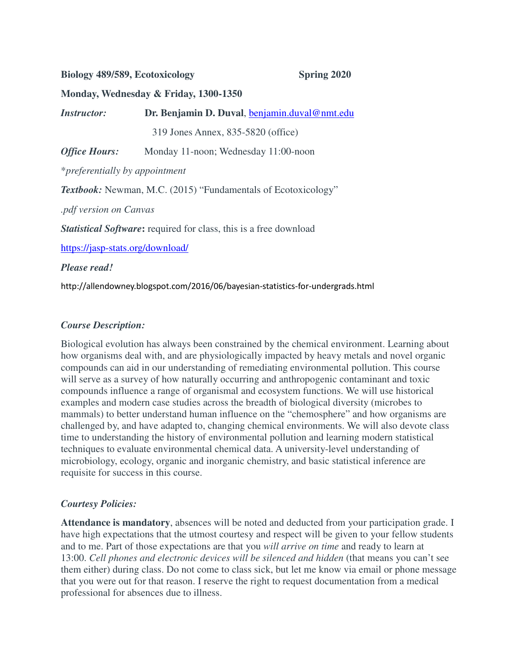## **Biology 489/589, Ecotoxicology Spring 2020**

### **Monday, Wednesday & Friday, 1300-1350**

*Instructor:* **Dr. Benjamin D. Duval**, benjamin.duval@nmt.edu 319 Jones Annex, 835-5820 (office) *Office Hours:* Monday 11-noon; Wednesday 11:00-noon

\**preferentially by appointment*

*Textbook:* Newman, M.C. (2015) "Fundamentals of Ecotoxicology"

*.pdf version on Canvas*

*Statistical Software***:** required for class, this is a free download

https://jasp-stats.org/download/

### *Please read!*

http://allendowney.blogspot.com/2016/06/bayesian-statistics-for-undergrads.html

## *Course Description:*

Biological evolution has always been constrained by the chemical environment. Learning about how organisms deal with, and are physiologically impacted by heavy metals and novel organic compounds can aid in our understanding of remediating environmental pollution. This course will serve as a survey of how naturally occurring and anthropogenic contaminant and toxic compounds influence a range of organismal and ecosystem functions. We will use historical examples and modern case studies across the breadth of biological diversity (microbes to mammals) to better understand human influence on the "chemosphere" and how organisms are challenged by, and have adapted to, changing chemical environments. We will also devote class time to understanding the history of environmental pollution and learning modern statistical techniques to evaluate environmental chemical data. A university-level understanding of microbiology, ecology, organic and inorganic chemistry, and basic statistical inference are requisite for success in this course.

## *Courtesy Policies:*

**Attendance is mandatory**, absences will be noted and deducted from your participation grade. I have high expectations that the utmost courtesy and respect will be given to your fellow students and to me. Part of those expectations are that you *will arrive on time* and ready to learn at 13:00. *Cell phones and electronic devices will be silenced and hidden* (that means you can't see them either) during class. Do not come to class sick, but let me know via email or phone message that you were out for that reason. I reserve the right to request documentation from a medical professional for absences due to illness.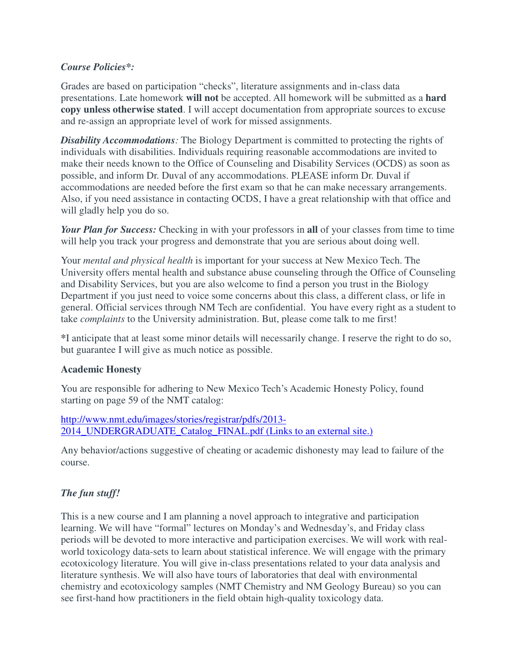# *Course Policies\*:*

Grades are based on participation "checks", literature assignments and in-class data presentations. Late homework **will not** be accepted. All homework will be submitted as a **hard copy unless otherwise stated**. I will accept documentation from appropriate sources to excuse and re-assign an appropriate level of work for missed assignments.

*Disability Accommodations:* The Biology Department is committed to protecting the rights of individuals with disabilities. Individuals requiring reasonable accommodations are invited to make their needs known to the Office of Counseling and Disability Services (OCDS) as soon as possible, and inform Dr. Duval of any accommodations. PLEASE inform Dr. Duval if accommodations are needed before the first exam so that he can make necessary arrangements. Also, if you need assistance in contacting OCDS, I have a great relationship with that office and will gladly help you do so.

*Your Plan for Success:* Checking in with your professors in **all** of your classes from time to time will help you track your progress and demonstrate that you are serious about doing well.

Your *mental and physical health* is important for your success at New Mexico Tech. The University offers mental health and substance abuse counseling through the Office of Counseling and Disability Services, but you are also welcome to find a person you trust in the Biology Department if you just need to voice some concerns about this class, a different class, or life in general. Official services through NM Tech are confidential. You have every right as a student to take *complaints* to the University administration. But, please come talk to me first!

**\***I anticipate that at least some minor details will necessarily change. I reserve the right to do so, but guarantee I will give as much notice as possible.

## **Academic Honesty**

You are responsible for adhering to New Mexico Tech's Academic Honesty Policy, found starting on page 59 of the NMT catalog:

http://www.nmt.edu/images/stories/registrar/pdfs/2013- 2014 UNDERGRADUATE Catalog FINAL.pdf (Links to an external site.)

Any behavior/actions suggestive of cheating or academic dishonesty may lead to failure of the course.

# *The fun stuff!*

This is a new course and I am planning a novel approach to integrative and participation learning. We will have "formal" lectures on Monday's and Wednesday's, and Friday class periods will be devoted to more interactive and participation exercises. We will work with realworld toxicology data-sets to learn about statistical inference. We will engage with the primary ecotoxicology literature. You will give in-class presentations related to your data analysis and literature synthesis. We will also have tours of laboratories that deal with environmental chemistry and ecotoxicology samples (NMT Chemistry and NM Geology Bureau) so you can see first-hand how practitioners in the field obtain high-quality toxicology data.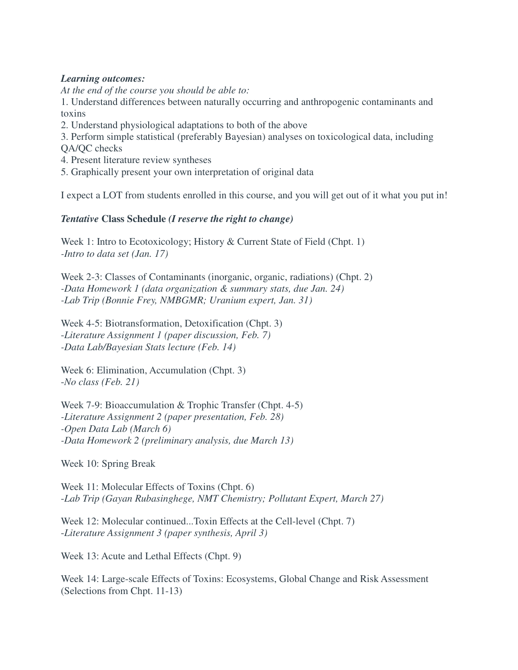## *Learning outcomes:*

*At the end of the course you should be able to:*

1. Understand differences between naturally occurring and anthropogenic contaminants and toxins

2. Understand physiological adaptations to both of the above

3. Perform simple statistical (preferably Bayesian) analyses on toxicological data, including QA/QC checks

- 4. Present literature review syntheses
- 5. Graphically present your own interpretation of original data

I expect a LOT from students enrolled in this course, and you will get out of it what you put in!

## *Tentative* **Class Schedule** *(I reserve the right to change)*

Week 1: Intro to Ecotoxicology; History & Current State of Field (Chpt. 1) *-Intro to data set (Jan. 17)*

Week 2-3: Classes of Contaminants (inorganic, organic, radiations) (Chpt. 2) *-Data Homework 1 (data organization & summary stats, due Jan. 24) -Lab Trip (Bonnie Frey, NMBGMR; Uranium expert, Jan. 31)*

Week 4-5: Biotransformation, Detoxification (Chpt. 3) -*Literature Assignment 1 (paper discussion, Feb. 7) -Data Lab/Bayesian Stats lecture (Feb. 14)*

Week 6: Elimination, Accumulation (Chpt. 3) -*No class (Feb. 21)*

Week 7-9: Bioaccumulation & Trophic Transfer (Chpt. 4-5) *-Literature Assignment 2 (paper presentation, Feb. 28) -Open Data Lab (March 6) -Data Homework 2 (preliminary analysis, due March 13)*

Week 10: Spring Break

Week 11: Molecular Effects of Toxins (Chpt. 6) -*Lab Trip (Gayan Rubasinghege, NMT Chemistry; Pollutant Expert, March 27)*

Week 12: Molecular continued...Toxin Effects at the Cell-level (Chpt. 7) -*Literature Assignment 3 (paper synthesis, April 3)* 

Week 13: Acute and Lethal Effects (Chpt. 9)

Week 14: Large-scale Effects of Toxins: Ecosystems, Global Change and Risk Assessment (Selections from Chpt. 11-13)